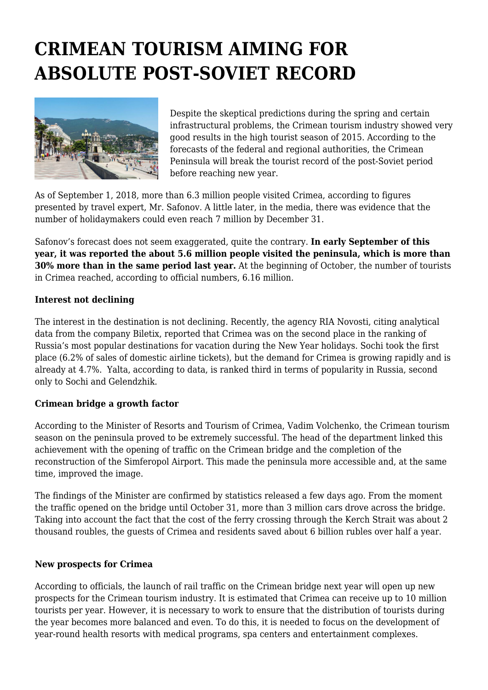# **CRIMEAN TOURISM AIMING FOR ABSOLUTE POST-SOVIET RECORD**



Despite the skeptical predictions during the spring and certain infrastructural problems, the Crimean tourism industry showed very good results in the high tourist season of 2015. According to the forecasts of the federal and regional authorities, the Crimean Peninsula will break the tourist record of the post-Soviet period before reaching new year.

As of September 1, 2018, more than 6.3 million people visited Crimea, according to figures presented by travel expert, Mr. Safonov. A little later, in the media, there was evidence that the number of holidaymakers could even reach 7 million by December 31.

Safonov's forecast does not seem exaggerated, quite the contrary. **In early September of this year, it was reported the about 5.6 million people visited the peninsula, which is more than 30% more than in the same period last year.** At the beginning of October, the number of tourists in Crimea reached, according to official numbers, 6.16 million.

### **Interest not declining**

The interest in the destination is not declining. Recently, the agency RIA Novosti, citing analytical data from the company Biletix, reported that Crimea was on the second place in the ranking of Russia's most popular destinations for vacation during the New Year holidays. Sochi took the first place (6.2% of sales of domestic airline tickets), but the demand for Crimea is growing rapidly and is already at 4.7%. Yalta, according to data, is ranked third in terms of popularity in Russia, second only to Sochi and Gelendzhik.

## **Crimean bridge a growth factor**

According to the Minister of Resorts and Tourism of Crimea, Vadim Volchenko, the Crimean tourism season on the peninsula proved to be extremely successful. The head of the department linked this achievement with the opening of traffic on the Crimean bridge and the completion of the reconstruction of the Simferopol Airport. This made the peninsula more accessible and, at the same time, improved the image.

The findings of the Minister are confirmed by statistics released a few days ago. From the moment the traffic opened on the bridge until October 31, more than 3 million cars drove across the bridge. Taking into account the fact that the cost of the ferry crossing through the Kerch Strait was about 2 thousand roubles, the guests of Crimea and residents saved about 6 billion rubles over half a year.

### **New prospects for Crimea**

According to officials, the launch of rail traffic on the Crimean bridge next year will open up new prospects for the Crimean tourism industry. It is estimated that Crimea can receive up to 10 million tourists per year. However, it is necessary to work to ensure that the distribution of tourists during the year becomes more balanced and even. To do this, it is needed to focus on the development of year-round health resorts with medical programs, spa centers and entertainment complexes.